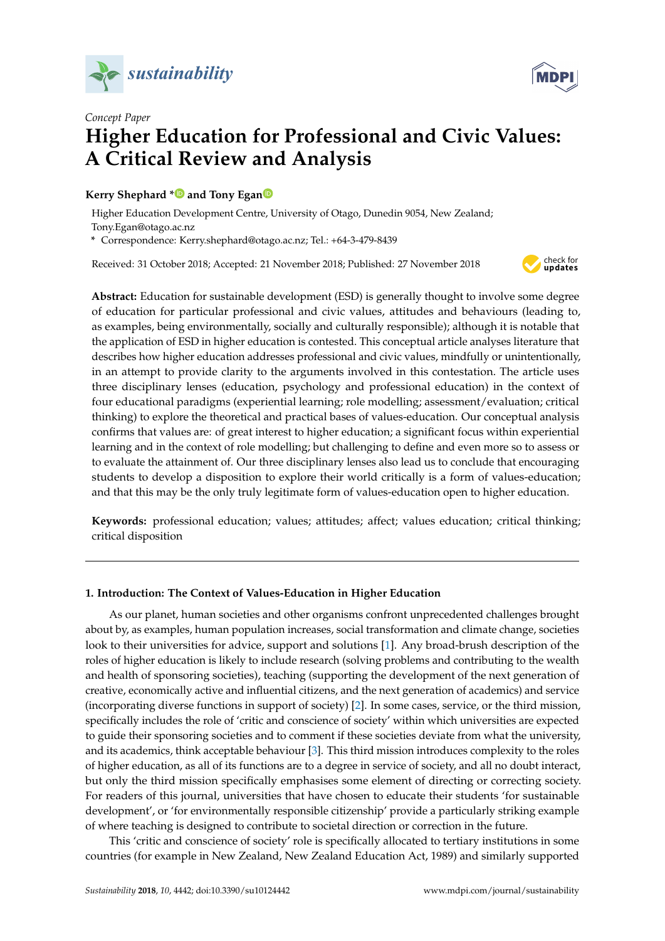



# *Concept Paper* **Higher Education for Professional and Civic Values: A Critical Review and Analysis**

# **Kerry Shephard [\\*](https://orcid.org/0000-0002-4139-5112) and Tony Ega[n](https://orcid.org/0000-0003-0693-996X)**

Higher Education Development Centre, University of Otago, Dunedin 9054, New Zealand; Tony.Egan@otago.ac.nz

**\*** Correspondence: Kerry.shephard@otago.ac.nz; Tel.: +64-3-479-8439

Received: 31 October 2018; Accepted: 21 November 2018; Published: 27 November 2018



**Abstract:** Education for sustainable development (ESD) is generally thought to involve some degree of education for particular professional and civic values, attitudes and behaviours (leading to, as examples, being environmentally, socially and culturally responsible); although it is notable that the application of ESD in higher education is contested. This conceptual article analyses literature that describes how higher education addresses professional and civic values, mindfully or unintentionally, in an attempt to provide clarity to the arguments involved in this contestation. The article uses three disciplinary lenses (education, psychology and professional education) in the context of four educational paradigms (experiential learning; role modelling; assessment/evaluation; critical thinking) to explore the theoretical and practical bases of values-education. Our conceptual analysis confirms that values are: of great interest to higher education; a significant focus within experiential learning and in the context of role modelling; but challenging to define and even more so to assess or to evaluate the attainment of. Our three disciplinary lenses also lead us to conclude that encouraging students to develop a disposition to explore their world critically is a form of values-education; and that this may be the only truly legitimate form of values-education open to higher education.

**Keywords:** professional education; values; attitudes; affect; values education; critical thinking; critical disposition

# **1. Introduction: The Context of Values-Education in Higher Education**

As our planet, human societies and other organisms confront unprecedented challenges brought about by, as examples, human population increases, social transformation and climate change, societies look to their universities for advice, support and solutions [\[1\]](#page-11-0). Any broad-brush description of the roles of higher education is likely to include research (solving problems and contributing to the wealth and health of sponsoring societies), teaching (supporting the development of the next generation of creative, economically active and influential citizens, and the next generation of academics) and service (incorporating diverse functions in support of society) [\[2\]](#page-12-0). In some cases, service, or the third mission, specifically includes the role of 'critic and conscience of society' within which universities are expected to guide their sponsoring societies and to comment if these societies deviate from what the university, and its academics, think acceptable behaviour [\[3\]](#page-12-1). This third mission introduces complexity to the roles of higher education, as all of its functions are to a degree in service of society, and all no doubt interact, but only the third mission specifically emphasises some element of directing or correcting society. For readers of this journal, universities that have chosen to educate their students 'for sustainable development', or 'for environmentally responsible citizenship' provide a particularly striking example of where teaching is designed to contribute to societal direction or correction in the future.

This 'critic and conscience of society' role is specifically allocated to tertiary institutions in some countries (for example in New Zealand, New Zealand Education Act, 1989) and similarly supported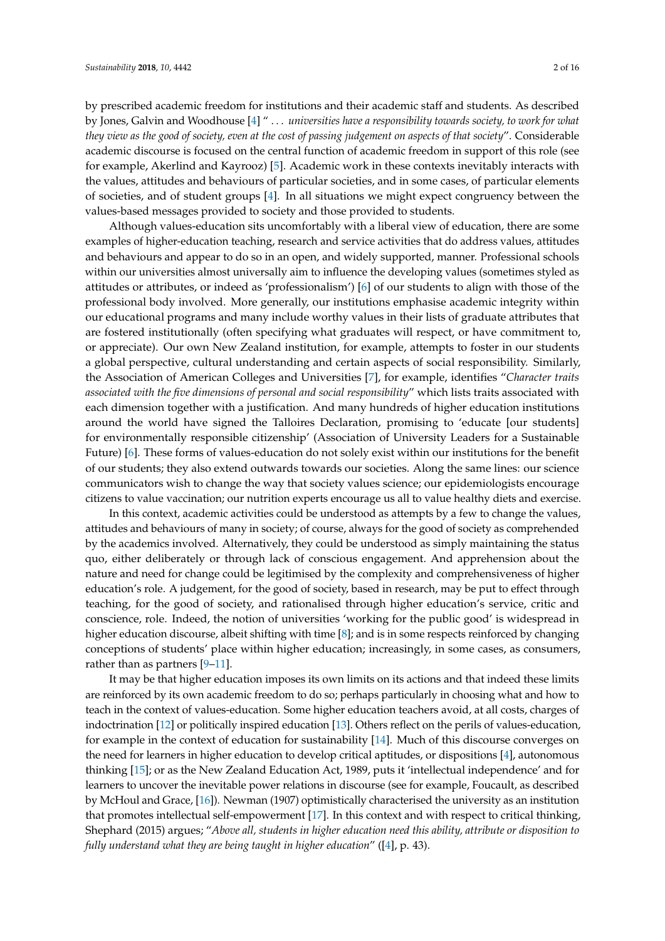by prescribed academic freedom for institutions and their academic staff and students. As described by Jones, Galvin and Woodhouse [\[4\]](#page-12-2) " . . . *universities have a responsibility towards society, to work for what they view as the good of society, even at the cost of passing judgement on aspects of that society*". Considerable academic discourse is focused on the central function of academic freedom in support of this role (see for example, Akerlind and Kayrooz) [\[5\]](#page-12-3). Academic work in these contexts inevitably interacts with the values, attitudes and behaviours of particular societies, and in some cases, of particular elements of societies, and of student groups [\[4\]](#page-12-2). In all situations we might expect congruency between the values-based messages provided to society and those provided to students.

Although values-education sits uncomfortably with a liberal view of education, there are some examples of higher-education teaching, research and service activities that do address values, attitudes and behaviours and appear to do so in an open, and widely supported, manner. Professional schools within our universities almost universally aim to influence the developing values (sometimes styled as attitudes or attributes, or indeed as 'professionalism') [\[6\]](#page-12-4) of our students to align with those of the professional body involved. More generally, our institutions emphasise academic integrity within our educational programs and many include worthy values in their lists of graduate attributes that are fostered institutionally (often specifying what graduates will respect, or have commitment to, or appreciate). Our own New Zealand institution, for example, attempts to foster in our students a global perspective, cultural understanding and certain aspects of social responsibility. Similarly, the Association of American Colleges and Universities [\[7\]](#page-12-5), for example, identifies "*Character traits associated with the five dimensions of personal and social responsibility*" which lists traits associated with each dimension together with a justification. And many hundreds of higher education institutions around the world have signed the Talloires Declaration, promising to 'educate [our students] for environmentally responsible citizenship' (Association of University Leaders for a Sustainable Future) [\[6\]](#page-12-4). These forms of values-education do not solely exist within our institutions for the benefit of our students; they also extend outwards towards our societies. Along the same lines: our science communicators wish to change the way that society values science; our epidemiologists encourage citizens to value vaccination; our nutrition experts encourage us all to value healthy diets and exercise.

In this context, academic activities could be understood as attempts by a few to change the values, attitudes and behaviours of many in society; of course, always for the good of society as comprehended by the academics involved. Alternatively, they could be understood as simply maintaining the status quo, either deliberately or through lack of conscious engagement. And apprehension about the nature and need for change could be legitimised by the complexity and comprehensiveness of higher education's role. A judgement, for the good of society, based in research, may be put to effect through teaching, for the good of society, and rationalised through higher education's service, critic and conscience, role. Indeed, the notion of universities 'working for the public good' is widespread in higher education discourse, albeit shifting with time [\[8\]](#page-12-6); and is in some respects reinforced by changing conceptions of students' place within higher education; increasingly, in some cases, as consumers, rather than as partners [\[9](#page-12-7)[–11\]](#page-12-8).

It may be that higher education imposes its own limits on its actions and that indeed these limits are reinforced by its own academic freedom to do so; perhaps particularly in choosing what and how to teach in the context of values-education. Some higher education teachers avoid, at all costs, charges of indoctrination [\[12\]](#page-12-9) or politically inspired education [\[13\]](#page-12-10). Others reflect on the perils of values-education, for example in the context of education for sustainability [\[14\]](#page-12-11). Much of this discourse converges on the need for learners in higher education to develop critical aptitudes, or dispositions [\[4\]](#page-12-2), autonomous thinking [\[15\]](#page-12-12); or as the New Zealand Education Act, 1989, puts it 'intellectual independence' and for learners to uncover the inevitable power relations in discourse (see for example, Foucault, as described by McHoul and Grace, [\[16\]](#page-12-13)). Newman (1907) optimistically characterised the university as an institution that promotes intellectual self-empowerment [\[17\]](#page-12-14). In this context and with respect to critical thinking, Shephard (2015) argues; "*Above all, students in higher education need this ability, attribute or disposition to fully understand what they are being taught in higher education*" ([\[4\]](#page-12-2), p. 43).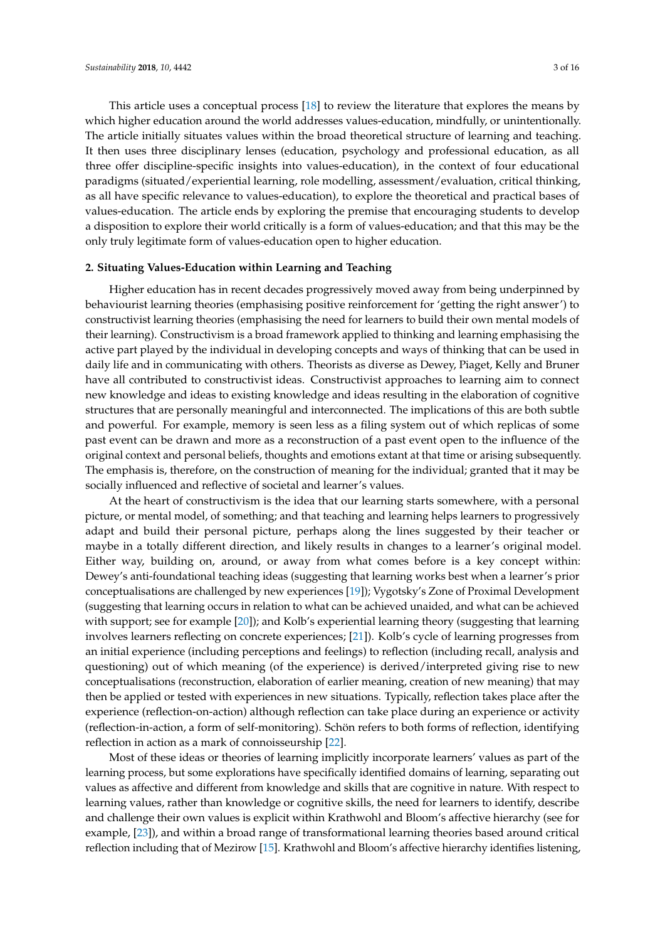This article uses a conceptual process [\[18\]](#page-12-15) to review the literature that explores the means by which higher education around the world addresses values-education, mindfully, or unintentionally. The article initially situates values within the broad theoretical structure of learning and teaching. It then uses three disciplinary lenses (education, psychology and professional education, as all three offer discipline-specific insights into values-education), in the context of four educational paradigms (situated/experiential learning, role modelling, assessment/evaluation, critical thinking, as all have specific relevance to values-education), to explore the theoretical and practical bases of values-education. The article ends by exploring the premise that encouraging students to develop a disposition to explore their world critically is a form of values-education; and that this may be the only truly legitimate form of values-education open to higher education.

#### **2. Situating Values-Education within Learning and Teaching**

Higher education has in recent decades progressively moved away from being underpinned by behaviourist learning theories (emphasising positive reinforcement for 'getting the right answer') to constructivist learning theories (emphasising the need for learners to build their own mental models of their learning). Constructivism is a broad framework applied to thinking and learning emphasising the active part played by the individual in developing concepts and ways of thinking that can be used in daily life and in communicating with others. Theorists as diverse as Dewey, Piaget, Kelly and Bruner have all contributed to constructivist ideas. Constructivist approaches to learning aim to connect new knowledge and ideas to existing knowledge and ideas resulting in the elaboration of cognitive structures that are personally meaningful and interconnected. The implications of this are both subtle and powerful. For example, memory is seen less as a filing system out of which replicas of some past event can be drawn and more as a reconstruction of a past event open to the influence of the original context and personal beliefs, thoughts and emotions extant at that time or arising subsequently. The emphasis is, therefore, on the construction of meaning for the individual; granted that it may be socially influenced and reflective of societal and learner's values.

At the heart of constructivism is the idea that our learning starts somewhere, with a personal picture, or mental model, of something; and that teaching and learning helps learners to progressively adapt and build their personal picture, perhaps along the lines suggested by their teacher or maybe in a totally different direction, and likely results in changes to a learner's original model. Either way, building on, around, or away from what comes before is a key concept within: Dewey's anti-foundational teaching ideas (suggesting that learning works best when a learner's prior conceptualisations are challenged by new experiences [\[19\]](#page-12-16)); Vygotsky's Zone of Proximal Development (suggesting that learning occurs in relation to what can be achieved unaided, and what can be achieved with support; see for example [\[20\]](#page-12-17)); and Kolb's experiential learning theory (suggesting that learning involves learners reflecting on concrete experiences; [\[21\]](#page-12-18)). Kolb's cycle of learning progresses from an initial experience (including perceptions and feelings) to reflection (including recall, analysis and questioning) out of which meaning (of the experience) is derived/interpreted giving rise to new conceptualisations (reconstruction, elaboration of earlier meaning, creation of new meaning) that may then be applied or tested with experiences in new situations. Typically, reflection takes place after the experience (reflection-on-action) although reflection can take place during an experience or activity (reflection-in-action, a form of self-monitoring). Schön refers to both forms of reflection, identifying reflection in action as a mark of connoisseurship [\[22\]](#page-12-19).

Most of these ideas or theories of learning implicitly incorporate learners' values as part of the learning process, but some explorations have specifically identified domains of learning, separating out values as affective and different from knowledge and skills that are cognitive in nature. With respect to learning values, rather than knowledge or cognitive skills, the need for learners to identify, describe and challenge their own values is explicit within Krathwohl and Bloom's affective hierarchy (see for example, [\[23\]](#page-12-20)), and within a broad range of transformational learning theories based around critical reflection including that of Mezirow [\[15\]](#page-12-12). Krathwohl and Bloom's affective hierarchy identifies listening,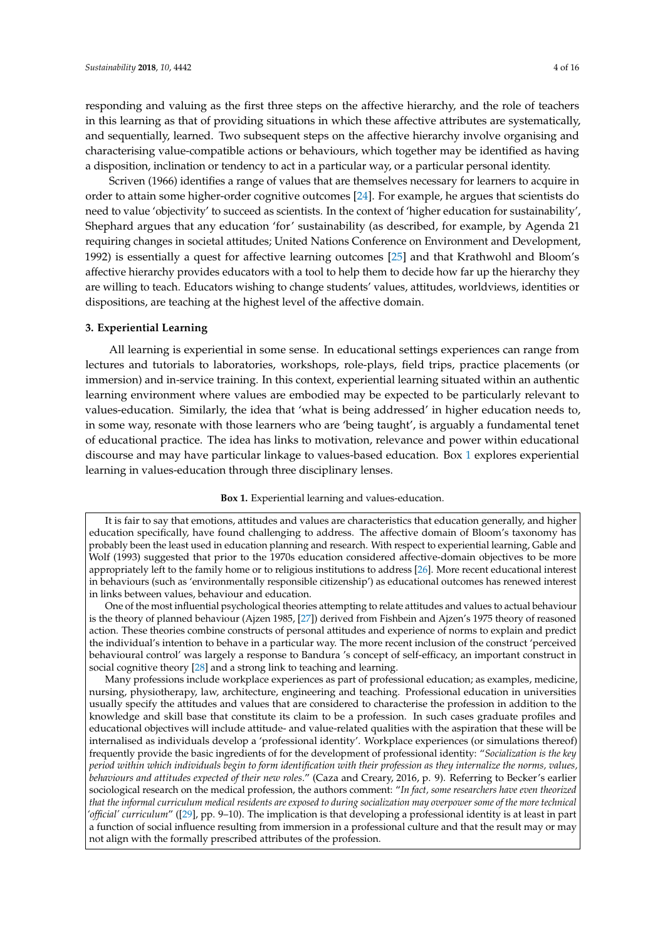responding and valuing as the first three steps on the affective hierarchy, and the role of teachers in this learning as that of providing situations in which these affective attributes are systematically, and sequentially, learned. Two subsequent steps on the affective hierarchy involve organising and characterising value-compatible actions or behaviours, which together may be identified as having a disposition, inclination or tendency to act in a particular way, or a particular personal identity.

Scriven (1966) identifies a range of values that are themselves necessary for learners to acquire in order to attain some higher-order cognitive outcomes [\[24\]](#page-12-21). For example, he argues that scientists do need to value 'objectivity' to succeed as scientists. In the context of 'higher education for sustainability', Shephard argues that any education 'for' sustainability (as described, for example, by Agenda 21 requiring changes in societal attitudes; United Nations Conference on Environment and Development, 1992) is essentially a quest for affective learning outcomes [\[25\]](#page-12-22) and that Krathwohl and Bloom's affective hierarchy provides educators with a tool to help them to decide how far up the hierarchy they are willing to teach. Educators wishing to change students' values, attitudes, worldviews, identities or dispositions, are teaching at the highest level of the affective domain.

#### **3. Experiential Learning**

All learning is experiential in some sense. In educational settings experiences can range from lectures and tutorials to laboratories, workshops, role-plays, field trips, practice placements (or immersion) and in-service training. In this context, experiential learning situated within an authentic learning environment where values are embodied may be expected to be particularly relevant to values-education. Similarly, the idea that 'what is being addressed' in higher education needs to, in some way, resonate with those learners who are 'being taught', is arguably a fundamental tenet of educational practice. The idea has links to motivation, relevance and power within educational discourse and may have particular linkage to values-based education. Box [1](#page-4-0) explores experiential learning in values-education through three disciplinary lenses.

### **Box 1.** Experiential learning and values-education.

It is fair to say that emotions, attitudes and values are characteristics that education generally, and higher education specifically, have found challenging to address. The affective domain of Bloom's taxonomy has probably been the least used in education planning and research. With respect to experiential learning, Gable and Wolf (1993) suggested that prior to the 1970s education considered affective-domain objectives to be more appropriately left to the family home or to religious institutions to address [\[26\]](#page-12-23). More recent educational interest in behaviours (such as 'environmentally responsible citizenship') as educational outcomes has renewed interest in links between values, behaviour and education.

One of the most influential psychological theories attempting to relate attitudes and values to actual behaviour is the theory of planned behaviour (Ajzen 1985, [\[27\]](#page-13-0)) derived from Fishbein and Ajzen's 1975 theory of reasoned action. These theories combine constructs of personal attitudes and experience of norms to explain and predict the individual's intention to behave in a particular way. The more recent inclusion of the construct 'perceived behavioural control' was largely a response to Bandura 's concept of self-efficacy, an important construct in social cognitive theory [\[28\]](#page-13-1) and a strong link to teaching and learning.

Many professions include workplace experiences as part of professional education; as examples, medicine, nursing, physiotherapy, law, architecture, engineering and teaching. Professional education in universities usually specify the attitudes and values that are considered to characterise the profession in addition to the knowledge and skill base that constitute its claim to be a profession. In such cases graduate profiles and educational objectives will include attitude- and value-related qualities with the aspiration that these will be internalised as individuals develop a 'professional identity'. Workplace experiences (or simulations thereof) frequently provide the basic ingredients of for the development of professional identity: "*Socialization is the key period within which individuals begin to form identification with their profession as they internalize the norms, values, behaviours and attitudes expected of their new roles*." (Caza and Creary, 2016, p. 9). Referring to Becker's earlier sociological research on the medical profession, the authors comment: "*In fact, some researchers have even theorized that the informal curriculum medical residents are exposed to during socialization may overpower some of the more technical 'official' curriculum*" ([\[29\]](#page-13-2), pp. 9–10). The implication is that developing a professional identity is at least in part a function of social influence resulting from immersion in a professional culture and that the result may or may not align with the formally prescribed attributes of the profession.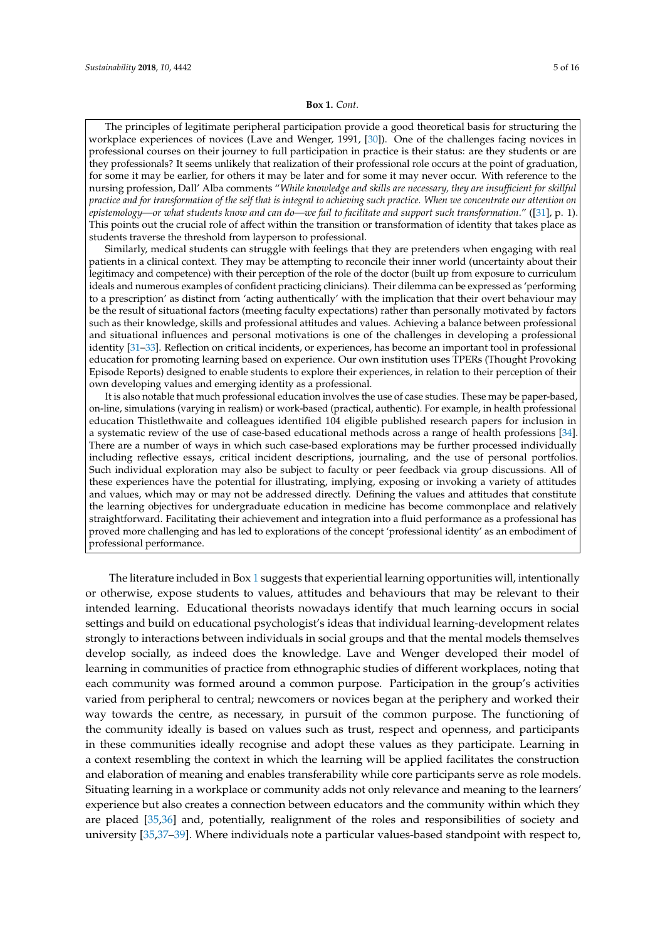#### **Box 1.** *Cont.*

<span id="page-4-0"></span>The principles of legitimate peripheral participation provide a good theoretical basis for structuring the workplace experiences of novices (Lave and Wenger, 1991, [\[30\]](#page-13-3)). One of the challenges facing novices in professional courses on their journey to full participation in practice is their status: are they students or are they professionals? It seems unlikely that realization of their professional role occurs at the point of graduation, for some it may be earlier, for others it may be later and for some it may never occur. With reference to the nursing profession, Dall' Alba comments "*While knowledge and skills are necessary, they are insufficient for skillful practice and for transformation of the self that is integral to achieving such practice. When we concentrate our attention on epistemology—or what students know and can do—we fail to facilitate and support such transformation*." ([\[31\]](#page-13-4), p. 1). This points out the crucial role of affect within the transition or transformation of identity that takes place as students traverse the threshold from layperson to professional.

Similarly, medical students can struggle with feelings that they are pretenders when engaging with real patients in a clinical context. They may be attempting to reconcile their inner world (uncertainty about their legitimacy and competence) with their perception of the role of the doctor (built up from exposure to curriculum ideals and numerous examples of confident practicing clinicians). Their dilemma can be expressed as 'performing to a prescription' as distinct from 'acting authentically' with the implication that their overt behaviour may be the result of situational factors (meeting faculty expectations) rather than personally motivated by factors such as their knowledge, skills and professional attitudes and values. Achieving a balance between professional and situational influences and personal motivations is one of the challenges in developing a professional identity [\[31–](#page-13-4)[33\]](#page-13-5). Reflection on critical incidents, or experiences, has become an important tool in professional education for promoting learning based on experience. Our own institution uses TPERs (Thought Provoking Episode Reports) designed to enable students to explore their experiences, in relation to their perception of their own developing values and emerging identity as a professional.

It is also notable that much professional education involves the use of case studies. These may be paper-based, on-line, simulations (varying in realism) or work-based (practical, authentic). For example, in health professional education Thistlethwaite and colleagues identified 104 eligible published research papers for inclusion in a systematic review of the use of case-based educational methods across a range of health professions [\[34\]](#page-13-6). There are a number of ways in which such case-based explorations may be further processed individually including reflective essays, critical incident descriptions, journaling, and the use of personal portfolios. Such individual exploration may also be subject to faculty or peer feedback via group discussions. All of these experiences have the potential for illustrating, implying, exposing or invoking a variety of attitudes and values, which may or may not be addressed directly. Defining the values and attitudes that constitute the learning objectives for undergraduate education in medicine has become commonplace and relatively straightforward. Facilitating their achievement and integration into a fluid performance as a professional has proved more challenging and has led to explorations of the concept 'professional identity' as an embodiment of professional performance.

The literature included in Box [1](#page-4-0) suggests that experiential learning opportunities will, intentionally or otherwise, expose students to values, attitudes and behaviours that may be relevant to their intended learning. Educational theorists nowadays identify that much learning occurs in social settings and build on educational psychologist's ideas that individual learning-development relates strongly to interactions between individuals in social groups and that the mental models themselves develop socially, as indeed does the knowledge. Lave and Wenger developed their model of learning in communities of practice from ethnographic studies of different workplaces, noting that each community was formed around a common purpose. Participation in the group's activities varied from peripheral to central; newcomers or novices began at the periphery and worked their way towards the centre, as necessary, in pursuit of the common purpose. The functioning of the community ideally is based on values such as trust, respect and openness, and participants in these communities ideally recognise and adopt these values as they participate. Learning in a context resembling the context in which the learning will be applied facilitates the construction and elaboration of meaning and enables transferability while core participants serve as role models. Situating learning in a workplace or community adds not only relevance and meaning to the learners' experience but also creates a connection between educators and the community within which they are placed [\[35](#page-13-7)[,36\]](#page-13-8) and, potentially, realignment of the roles and responsibilities of society and university [\[35](#page-13-7)[,37–](#page-13-9)[39\]](#page-13-10). Where individuals note a particular values-based standpoint with respect to,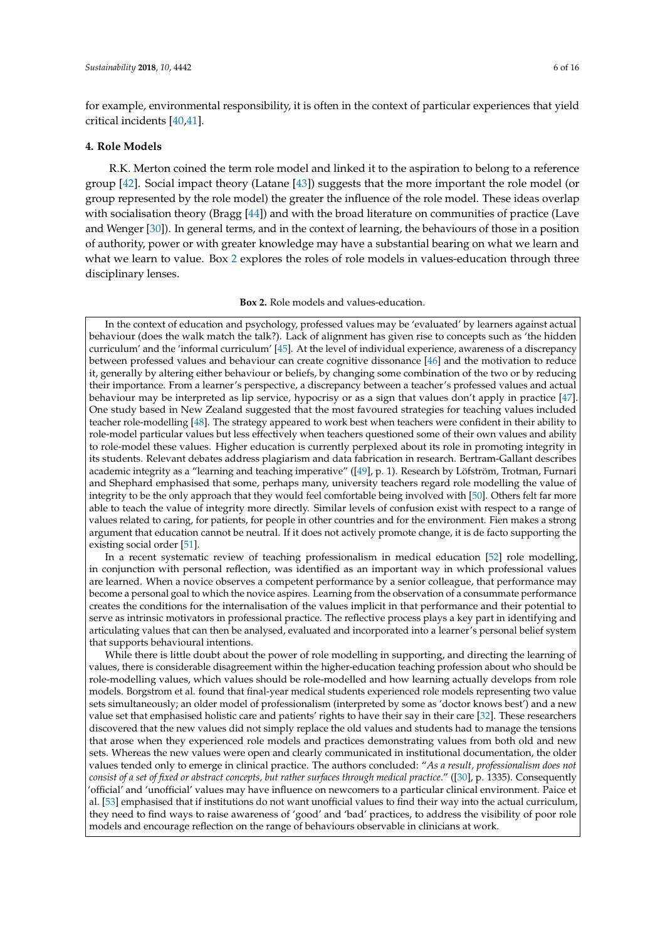for example, environmental responsibility, it is often in the context of particular experiences that yield critical incidents [\[40,](#page-13-11)[41\]](#page-13-12).

## **4. Role Models**

R.K. Merton coined the term role model and linked it to the aspiration to belong to a reference group [\[42\]](#page-13-13). Social impact theory (Latane [\[43\]](#page-13-14)) suggests that the more important the role model (or group represented by the role model) the greater the influence of the role model. These ideas overlap with socialisation theory (Bragg [\[44\]](#page-13-15)) and with the broad literature on communities of practice (Lave and Wenger [\[30\]](#page-13-3)). In general terms, and in the context of learning, the behaviours of those in a position of authority, power or with greater knowledge may have a substantial bearing on what we learn and what we learn to value. Box [2](#page-5-0) explores the roles of role models in values-education through three disciplinary lenses.

**Box 2.** Role models and values-education.

<span id="page-5-0"></span>In the context of education and psychology, professed values may be 'evaluated' by learners against actual behaviour (does the walk match the talk?). Lack of alignment has given rise to concepts such as 'the hidden curriculum' and the 'informal curriculum' [\[45\]](#page-13-16). At the level of individual experience, awareness of a discrepancy between professed values and behaviour can create cognitive dissonance [\[46\]](#page-13-17) and the motivation to reduce it, generally by altering either behaviour or beliefs, by changing some combination of the two or by reducing their importance. From a learner's perspective, a discrepancy between a teacher's professed values and actual behaviour may be interpreted as lip service, hypocrisy or as a sign that values don't apply in practice [\[47\]](#page-13-18). One study based in New Zealand suggested that the most favoured strategies for teaching values included teacher role-modelling [\[48\]](#page-13-19). The strategy appeared to work best when teachers were confident in their ability to role-model particular values but less effectively when teachers questioned some of their own values and ability to role-model these values. Higher education is currently perplexed about its role in promoting integrity in its students. Relevant debates address plagiarism and data fabrication in research. Bertram-Gallant describes academic integrity as a "learning and teaching imperative" ([\[49\]](#page-13-20), p. 1). Research by Löfström, Trotman, Furnari and Shephard emphasised that some, perhaps many, university teachers regard role modelling the value of integrity to be the only approach that they would feel comfortable being involved with [\[50\]](#page-13-21). Others felt far more able to teach the value of integrity more directly. Similar levels of confusion exist with respect to a range of values related to caring, for patients, for people in other countries and for the environment. Fien makes a strong argument that education cannot be neutral. If it does not actively promote change, it is de facto supporting the existing social order [\[51\]](#page-13-22).

In a recent systematic review of teaching professionalism in medical education [\[52\]](#page-13-23) role modelling, in conjunction with personal reflection, was identified as an important way in which professional values are learned. When a novice observes a competent performance by a senior colleague, that performance may become a personal goal to which the novice aspires. Learning from the observation of a consummate performance creates the conditions for the internalisation of the values implicit in that performance and their potential to serve as intrinsic motivators in professional practice. The reflective process plays a key part in identifying and articulating values that can then be analysed, evaluated and incorporated into a learner's personal belief system that supports behavioural intentions.

While there is little doubt about the power of role modelling in supporting, and directing the learning of values, there is considerable disagreement within the higher-education teaching profession about who should be role-modelling values, which values should be role-modelled and how learning actually develops from role models. Borgstrom et al. found that final-year medical students experienced role models representing two value sets simultaneously; an older model of professionalism (interpreted by some as 'doctor knows best') and a new value set that emphasised holistic care and patients' rights to have their say in their care [\[32\]](#page-13-24). These researchers discovered that the new values did not simply replace the old values and students had to manage the tensions that arose when they experienced role models and practices demonstrating values from both old and new sets. Whereas the new values were open and clearly communicated in institutional documentation, the older values tended only to emerge in clinical practice. The authors concluded: "*As a result, professionalism does not consist of a set of fixed or abstract concepts, but rather surfaces through medical practice*." ([\[30\]](#page-13-3), p. 1335). Consequently 'official' and 'unofficial' values may have influence on newcomers to a particular clinical environment. Paice et al. [\[53\]](#page-13-25) emphasised that if institutions do not want unofficial values to find their way into the actual curriculum, they need to find ways to raise awareness of 'good' and 'bad' practices, to address the visibility of poor role models and encourage reflection on the range of behaviours observable in clinicians at work.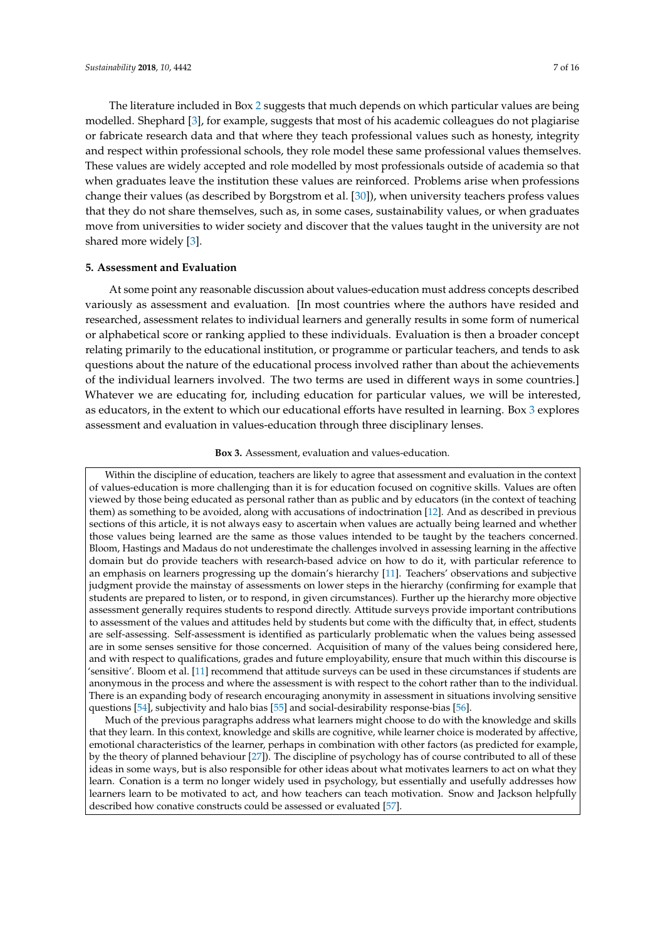The literature included in Box [2](#page-5-0) suggests that much depends on which particular values are being modelled. Shephard [\[3\]](#page-12-1), for example, suggests that most of his academic colleagues do not plagiarise or fabricate research data and that where they teach professional values such as honesty, integrity and respect within professional schools, they role model these same professional values themselves. These values are widely accepted and role modelled by most professionals outside of academia so that when graduates leave the institution these values are reinforced. Problems arise when professions change their values (as described by Borgstrom et al. [\[30\]](#page-13-3)), when university teachers profess values that they do not share themselves, such as, in some cases, sustainability values, or when graduates move from universities to wider society and discover that the values taught in the university are not shared more widely [\[3\]](#page-12-1).

## **5. Assessment and Evaluation**

At some point any reasonable discussion about values-education must address concepts described variously as assessment and evaluation. [In most countries where the authors have resided and researched, assessment relates to individual learners and generally results in some form of numerical or alphabetical score or ranking applied to these individuals. Evaluation is then a broader concept relating primarily to the educational institution, or programme or particular teachers, and tends to ask questions about the nature of the educational process involved rather than about the achievements of the individual learners involved. The two terms are used in different ways in some countries.] Whatever we are educating for, including education for particular values, we will be interested, as educators, in the extent to which our educational efforts have resulted in learning. Box [3](#page-7-0) explores assessment and evaluation in values-education through three disciplinary lenses.

#### **Box 3.** Assessment, evaluation and values-education.

Within the discipline of education, teachers are likely to agree that assessment and evaluation in the context of values-education is more challenging than it is for education focused on cognitive skills. Values are often viewed by those being educated as personal rather than as public and by educators (in the context of teaching them) as something to be avoided, along with accusations of indoctrination [\[12\]](#page-12-9). And as described in previous sections of this article, it is not always easy to ascertain when values are actually being learned and whether those values being learned are the same as those values intended to be taught by the teachers concerned. Bloom, Hastings and Madaus do not underestimate the challenges involved in assessing learning in the affective domain but do provide teachers with research-based advice on how to do it, with particular reference to an emphasis on learners progressing up the domain's hierarchy [\[11\]](#page-12-8). Teachers' observations and subjective judgment provide the mainstay of assessments on lower steps in the hierarchy (confirming for example that students are prepared to listen, or to respond, in given circumstances). Further up the hierarchy more objective assessment generally requires students to respond directly. Attitude surveys provide important contributions to assessment of the values and attitudes held by students but come with the difficulty that, in effect, students are self-assessing. Self-assessment is identified as particularly problematic when the values being assessed are in some senses sensitive for those concerned. Acquisition of many of the values being considered here, and with respect to qualifications, grades and future employability, ensure that much within this discourse is 'sensitive'. Bloom et al. [\[11\]](#page-12-8) recommend that attitude surveys can be used in these circumstances if students are anonymous in the process and where the assessment is with respect to the cohort rather than to the individual. There is an expanding body of research encouraging anonymity in assessment in situations involving sensitive questions [\[54\]](#page-14-0), subjectivity and halo bias [\[55\]](#page-14-1) and social-desirability response-bias [\[56\]](#page-14-2).

Much of the previous paragraphs address what learners might choose to do with the knowledge and skills that they learn. In this context, knowledge and skills are cognitive, while learner choice is moderated by affective, emotional characteristics of the learner, perhaps in combination with other factors (as predicted for example, by the theory of planned behaviour [\[27\]](#page-13-0)). The discipline of psychology has of course contributed to all of these ideas in some ways, but is also responsible for other ideas about what motivates learners to act on what they learn. Conation is a term no longer widely used in psychology, but essentially and usefully addresses how learners learn to be motivated to act, and how teachers can teach motivation. Snow and Jackson helpfully described how conative constructs could be assessed or evaluated [\[57\]](#page-14-3).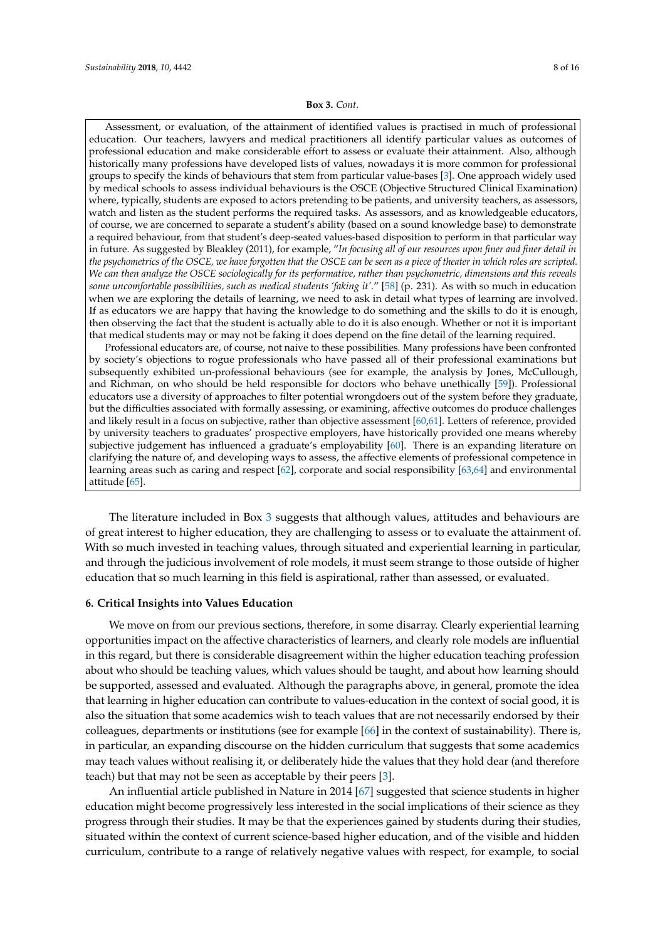#### **Box 3.** *Cont.*

<span id="page-7-0"></span>Assessment, or evaluation, of the attainment of identified values is practised in much of professional education. Our teachers, lawyers and medical practitioners all identify particular values as outcomes of professional education and make considerable effort to assess or evaluate their attainment. Also, although historically many professions have developed lists of values, nowadays it is more common for professional groups to specify the kinds of behaviours that stem from particular value-bases [\[3\]](#page-12-1). One approach widely used by medical schools to assess individual behaviours is the OSCE (Objective Structured Clinical Examination) where, typically, students are exposed to actors pretending to be patients, and university teachers, as assessors, watch and listen as the student performs the required tasks. As assessors, and as knowledgeable educators, of course, we are concerned to separate a student's ability (based on a sound knowledge base) to demonstrate a required behaviour, from that student's deep-seated values-based disposition to perform in that particular way in future. As suggested by Bleakley (2011), for example, "*In focusing all of our resources upon finer and finer detail in the psychometrics of the OSCE, we have forgotten that the OSCE can be seen as a piece of theater in which roles are scripted. We can then analyze the OSCE sociologically for its performative, rather than psychometric, dimensions and this reveals some uncomfortable possibilities, such as medical students 'faking it'.*" [\[58\]](#page-14-4) (p. 231). As with so much in education when we are exploring the details of learning, we need to ask in detail what types of learning are involved. If as educators we are happy that having the knowledge to do something and the skills to do it is enough, then observing the fact that the student is actually able to do it is also enough. Whether or not it is important that medical students may or may not be faking it does depend on the fine detail of the learning required.

Professional educators are, of course, not naive to these possibilities. Many professions have been confronted by society's objections to rogue professionals who have passed all of their professional examinations but subsequently exhibited un-professional behaviours (see for example, the analysis by Jones, McCullough, and Richman, on who should be held responsible for doctors who behave unethically [\[59\]](#page-14-5)). Professional educators use a diversity of approaches to filter potential wrongdoers out of the system before they graduate, but the difficulties associated with formally assessing, or examining, affective outcomes do produce challenges and likely result in a focus on subjective, rather than objective assessment [\[60,](#page-14-6)[61\]](#page-14-7). Letters of reference, provided by university teachers to graduates' prospective employers, have historically provided one means whereby subjective judgement has influenced a graduate's employability [\[60\]](#page-14-6). There is an expanding literature on clarifying the nature of, and developing ways to assess, the affective elements of professional competence in learning areas such as caring and respect [\[62\]](#page-14-8), corporate and social responsibility [\[63](#page-14-9)[,64\]](#page-14-10) and environmental attitude [\[65\]](#page-14-11).

The literature included in Box [3](#page-7-0) suggests that although values, attitudes and behaviours are of great interest to higher education, they are challenging to assess or to evaluate the attainment of. With so much invested in teaching values, through situated and experiential learning in particular, and through the judicious involvement of role models, it must seem strange to those outside of higher education that so much learning in this field is aspirational, rather than assessed, or evaluated.

## **6. Critical Insights into Values Education**

We move on from our previous sections, therefore, in some disarray. Clearly experiential learning opportunities impact on the affective characteristics of learners, and clearly role models are influential in this regard, but there is considerable disagreement within the higher education teaching profession about who should be teaching values, which values should be taught, and about how learning should be supported, assessed and evaluated. Although the paragraphs above, in general, promote the idea that learning in higher education can contribute to values-education in the context of social good, it is also the situation that some academics wish to teach values that are not necessarily endorsed by their colleagues, departments or institutions (see for example [\[66\]](#page-14-12) in the context of sustainability). There is, in particular, an expanding discourse on the hidden curriculum that suggests that some academics may teach values without realising it, or deliberately hide the values that they hold dear (and therefore teach) but that may not be seen as acceptable by their peers [\[3\]](#page-12-1).

An influential article published in Nature in 2014 [\[67\]](#page-14-13) suggested that science students in higher education might become progressively less interested in the social implications of their science as they progress through their studies. It may be that the experiences gained by students during their studies, situated within the context of current science-based higher education, and of the visible and hidden curriculum, contribute to a range of relatively negative values with respect, for example, to social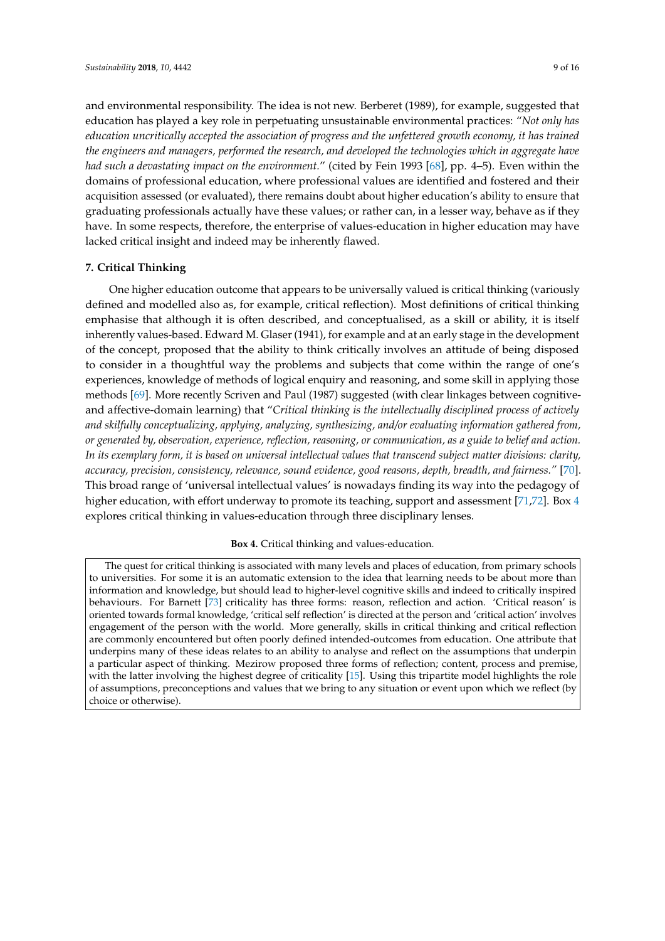and environmental responsibility. The idea is not new. Berberet (1989), for example, suggested that education has played a key role in perpetuating unsustainable environmental practices: "*Not only has education uncritically accepted the association of progress and the unfettered growth economy, it has trained the engineers and managers, performed the research, and developed the technologies which in aggregate have had such a devastating impact on the environment.*" (cited by Fein 1993 [\[68\]](#page-14-14), pp. 4–5). Even within the domains of professional education, where professional values are identified and fostered and their acquisition assessed (or evaluated), there remains doubt about higher education's ability to ensure that graduating professionals actually have these values; or rather can, in a lesser way, behave as if they have. In some respects, therefore, the enterprise of values-education in higher education may have lacked critical insight and indeed may be inherently flawed.

# **7. Critical Thinking**

One higher education outcome that appears to be universally valued is critical thinking (variously defined and modelled also as, for example, critical reflection). Most definitions of critical thinking emphasise that although it is often described, and conceptualised, as a skill or ability, it is itself inherently values-based. Edward M. Glaser (1941), for example and at an early stage in the development of the concept, proposed that the ability to think critically involves an attitude of being disposed to consider in a thoughtful way the problems and subjects that come within the range of one's experiences, knowledge of methods of logical enquiry and reasoning, and some skill in applying those methods [\[69\]](#page-14-15). More recently Scriven and Paul (1987) suggested (with clear linkages between cognitiveand affective-domain learning) that "*Critical thinking is the intellectually disciplined process of actively and skilfully conceptualizing, applying, analyzing, synthesizing, and/or evaluating information gathered from, or generated by, observation, experience, reflection, reasoning, or communication, as a guide to belief and action. In its exemplary form, it is based on universal intellectual values that transcend subject matter divisions: clarity, accuracy, precision, consistency, relevance, sound evidence, good reasons, depth, breadth, and fairness."* [\[70\]](#page-14-16). This broad range of 'universal intellectual values' is nowadays finding its way into the pedagogy of higher education, with effort underway to promote its teaching, support and assessment [\[71](#page-14-17)[,72\]](#page-14-18). Box [4](#page-10-0) explores critical thinking in values-education through three disciplinary lenses.

#### **Box 4.** Critical thinking and values-education.

The quest for critical thinking is associated with many levels and places of education, from primary schools to universities. For some it is an automatic extension to the idea that learning needs to be about more than information and knowledge, but should lead to higher-level cognitive skills and indeed to critically inspired behaviours. For Barnett [\[73\]](#page-14-19) criticality has three forms: reason, reflection and action. 'Critical reason' is oriented towards formal knowledge, 'critical self reflection' is directed at the person and 'critical action' involves engagement of the person with the world. More generally, skills in critical thinking and critical reflection are commonly encountered but often poorly defined intended-outcomes from education. One attribute that underpins many of these ideas relates to an ability to analyse and reflect on the assumptions that underpin a particular aspect of thinking. Mezirow proposed three forms of reflection; content, process and premise, with the latter involving the highest degree of criticality [\[15\]](#page-12-12). Using this tripartite model highlights the role of assumptions, preconceptions and values that we bring to any situation or event upon which we reflect (by choice or otherwise).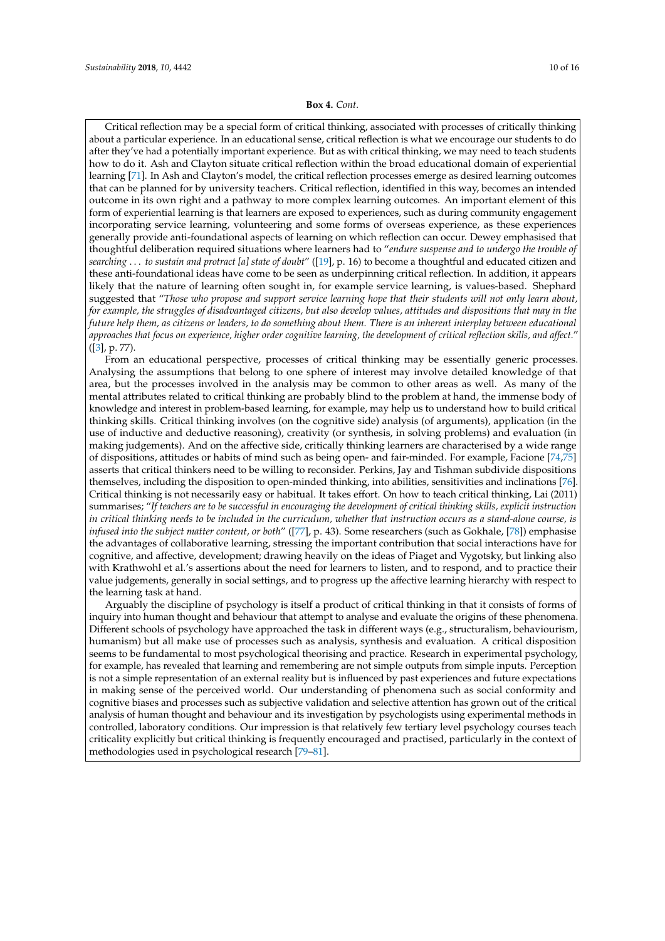#### **Box 4.** *Cont.*

Critical reflection may be a special form of critical thinking, associated with processes of critically thinking about a particular experience. In an educational sense, critical reflection is what we encourage our students to do after they've had a potentially important experience. But as with critical thinking, we may need to teach students how to do it. Ash and Clayton situate critical reflection within the broad educational domain of experiential learning [\[71\]](#page-14-17). In Ash and Clayton's model, the critical reflection processes emerge as desired learning outcomes that can be planned for by university teachers. Critical reflection, identified in this way, becomes an intended outcome in its own right and a pathway to more complex learning outcomes. An important element of this form of experiential learning is that learners are exposed to experiences, such as during community engagement incorporating service learning, volunteering and some forms of overseas experience, as these experiences generally provide anti-foundational aspects of learning on which reflection can occur. Dewey emphasised that thoughtful deliberation required situations where learners had to "*endure suspense and to undergo the trouble of searching* . . . *to sustain and protract [a] state of doubt*" ([\[19\]](#page-12-16), p. 16) to become a thoughtful and educated citizen and these anti-foundational ideas have come to be seen as underpinning critical reflection. In addition, it appears likely that the nature of learning often sought in, for example service learning, is values-based. Shephard suggested that "*Those who propose and support service learning hope that their students will not only learn about, for example, the struggles of disadvantaged citizens, but also develop values, attitudes and dispositions that may in the future help them, as citizens or leaders, to do something about them. There is an inherent interplay between educational approaches that focus on experience, higher order cognitive learning, the development of critical reflection skills, and affect.*" ([\[3\]](#page-12-1), p. 77).

From an educational perspective, processes of critical thinking may be essentially generic processes Analysing the assumptions that belong to one sphere of interest may involve detailed knowledge of that area, but the processes involved in the analysis may be common to other areas as well. As many of the mental attributes related to critical thinking are probably blind to the problem at hand, the immense body of knowledge and interest in problem-based learning, for example, may help us to understand how to build critical thinking skills. Critical thinking involves (on the cognitive side) analysis (of arguments), application (in the use of inductive and deductive reasoning), creativity (or synthesis, in solving problems) and evaluation (in making judgements). And on the affective side, critically thinking learners are characterised by a wide range of dispositions, attitudes or habits of mind such as being open- and fair-minded. For example, Facione [\[74](#page-14-20)[,75\]](#page-14-21) asserts that critical thinkers need to be willing to reconsider. Perkins, Jay and Tishman subdivide dispositions themselves, including the disposition to open-minded thinking, into abilities, sensitivities and inclinations [\[76\]](#page-14-22). Critical thinking is not necessarily easy or habitual. It takes effort. On how to teach critical thinking, Lai (2011) summarises; "*If teachers are to be successful in encouraging the development of critical thinking skills, explicit instruction in critical thinking needs to be included in the curriculum, whether that instruction occurs as a stand-alone course, is infused into the subject matter content, or both*" ([\[77\]](#page-14-23), p. 43). Some researchers (such as Gokhale, [\[78\]](#page-14-24)) emphasise the advantages of collaborative learning, stressing the important contribution that social interactions have for cognitive, and affective, development; drawing heavily on the ideas of Piaget and Vygotsky, but linking also with Krathwohl et al.'s assertions about the need for learners to listen, and to respond, and to practice their value judgements, generally in social settings, and to progress up the affective learning hierarchy with respect to the learning task at hand.

Arguably the discipline of psychology is itself a product of critical thinking in that it consists of forms of inquiry into human thought and behaviour that attempt to analyse and evaluate the origins of these phenomena. Different schools of psychology have approached the task in different ways (e.g., structuralism, behaviourism, humanism) but all make use of processes such as analysis, synthesis and evaluation. A critical disposition seems to be fundamental to most psychological theorising and practice. Research in experimental psychology, for example, has revealed that learning and remembering are not simple outputs from simple inputs. Perception is not a simple representation of an external reality but is influenced by past experiences and future expectations in making sense of the perceived world. Our understanding of phenomena such as social conformity and cognitive biases and processes such as subjective validation and selective attention has grown out of the critical analysis of human thought and behaviour and its investigation by psychologists using experimental methods in controlled, laboratory conditions. Our impression is that relatively few tertiary level psychology courses teach criticality explicitly but critical thinking is frequently encouraged and practised, particularly in the context of methodologies used in psychological research [\[79](#page-14-25)[–81\]](#page-15-0).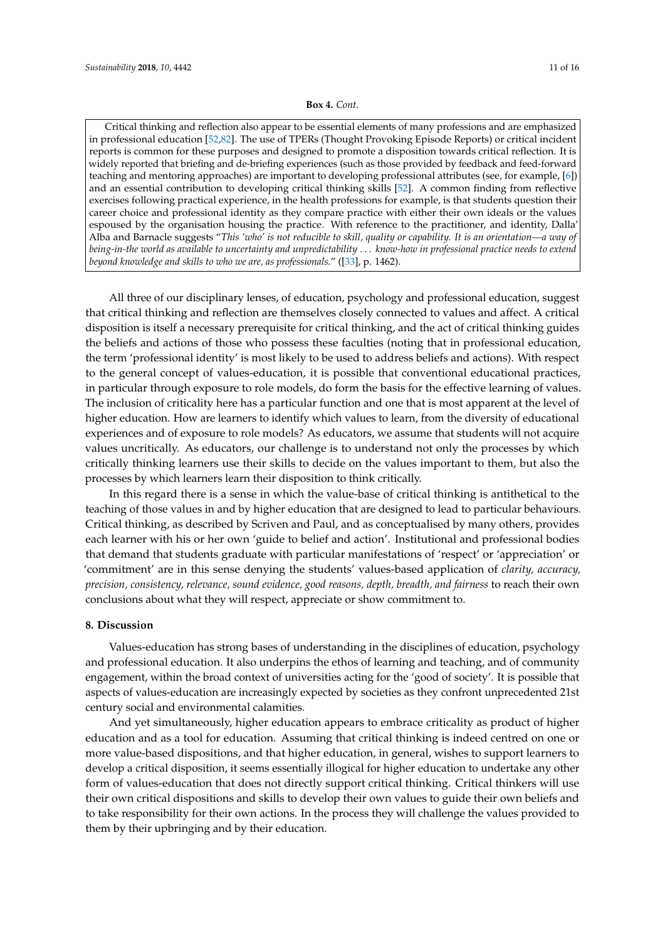### **Box 4.** *Cont.*

<span id="page-10-0"></span>Critical thinking and reflection also appear to be essential elements of many professions and are emphasized in professional education [\[52,](#page-13-23)[82\]](#page-15-1). The use of TPERs (Thought Provoking Episode Reports) or critical incident reports is common for these purposes and designed to promote a disposition towards critical reflection. It is widely reported that briefing and de-briefing experiences (such as those provided by feedback and feed-forward teaching and mentoring approaches) are important to developing professional attributes (see, for example, [\[6\]](#page-12-4)) and an essential contribution to developing critical thinking skills [\[52\]](#page-13-23). A common finding from reflective exercises following practical experience, in the health professions for example, is that students question their career choice and professional identity as they compare practice with either their own ideals or the values espoused by the organisation housing the practice. With reference to the practitioner, and identity, Dalla' Alba and Barnacle suggests "*This 'who' is not reducible to skill, quality or capability. It is an orientation—a way of being-in-the world as available to uncertainty and unpredictability* . . . *know-how in professional practice needs to extend beyond knowledge and skills to who we are, as professionals.*" ([\[33\]](#page-13-5), p. 1462).

All three of our disciplinary lenses, of education, psychology and professional education, suggest that critical thinking and reflection are themselves closely connected to values and affect. A critical disposition is itself a necessary prerequisite for critical thinking, and the act of critical thinking guides the beliefs and actions of those who possess these faculties (noting that in professional education, the term 'professional identity' is most likely to be used to address beliefs and actions). With respect to the general concept of values-education, it is possible that conventional educational practices, in particular through exposure to role models, do form the basis for the effective learning of values. The inclusion of criticality here has a particular function and one that is most apparent at the level of higher education. How are learners to identify which values to learn, from the diversity of educational experiences and of exposure to role models? As educators, we assume that students will not acquire values uncritically. As educators, our challenge is to understand not only the processes by which critically thinking learners use their skills to decide on the values important to them, but also the processes by which learners learn their disposition to think critically.

In this regard there is a sense in which the value-base of critical thinking is antithetical to the teaching of those values in and by higher education that are designed to lead to particular behaviours. Critical thinking, as described by Scriven and Paul, and as conceptualised by many others, provides each learner with his or her own 'guide to belief and action'. Institutional and professional bodies that demand that students graduate with particular manifestations of 'respect' or 'appreciation' or 'commitment' are in this sense denying the students' values-based application of *clarity, accuracy, precision, consistency, relevance, sound evidence, good reasons, depth, breadth, and fairness* to reach their own conclusions about what they will respect, appreciate or show commitment to.

#### **8. Discussion**

Values-education has strong bases of understanding in the disciplines of education, psychology and professional education. It also underpins the ethos of learning and teaching, and of community engagement, within the broad context of universities acting for the 'good of society'. It is possible that aspects of values-education are increasingly expected by societies as they confront unprecedented 21st century social and environmental calamities.

And yet simultaneously, higher education appears to embrace criticality as product of higher education and as a tool for education. Assuming that critical thinking is indeed centred on one or more value-based dispositions, and that higher education, in general, wishes to support learners to develop a critical disposition, it seems essentially illogical for higher education to undertake any other form of values-education that does not directly support critical thinking. Critical thinkers will use their own critical dispositions and skills to develop their own values to guide their own beliefs and to take responsibility for their own actions. In the process they will challenge the values provided to them by their upbringing and by their education.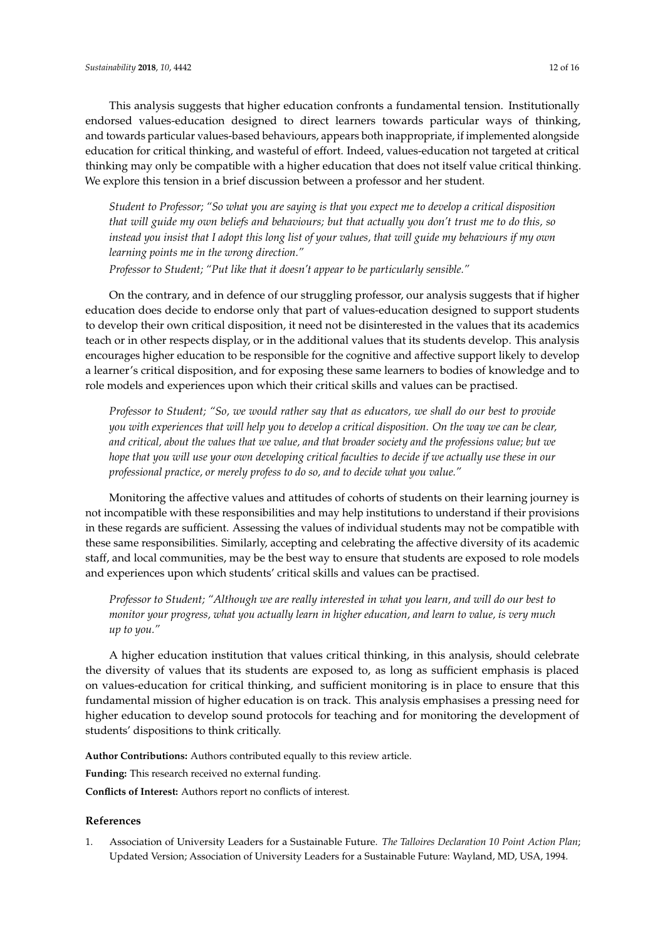This analysis suggests that higher education confronts a fundamental tension. Institutionally endorsed values-education designed to direct learners towards particular ways of thinking, and towards particular values-based behaviours, appears both inappropriate, if implemented alongside education for critical thinking, and wasteful of effort. Indeed, values-education not targeted at critical thinking may only be compatible with a higher education that does not itself value critical thinking. We explore this tension in a brief discussion between a professor and her student.

*Student to Professor; "So what you are saying is that you expect me to develop a critical disposition that will guide my own beliefs and behaviours; but that actually you don't trust me to do this, so instead you insist that I adopt this long list of your values, that will guide my behaviours if my own learning points me in the wrong direction."*

*Professor to Student; "Put like that it doesn't appear to be particularly sensible."*

On the contrary, and in defence of our struggling professor, our analysis suggests that if higher education does decide to endorse only that part of values-education designed to support students to develop their own critical disposition, it need not be disinterested in the values that its academics teach or in other respects display, or in the additional values that its students develop. This analysis encourages higher education to be responsible for the cognitive and affective support likely to develop a learner's critical disposition, and for exposing these same learners to bodies of knowledge and to role models and experiences upon which their critical skills and values can be practised.

*Professor to Student; "So, we would rather say that as educators, we shall do our best to provide you with experiences that will help you to develop a critical disposition. On the way we can be clear, and critical, about the values that we value, and that broader society and the professions value; but we hope that you will use your own developing critical faculties to decide if we actually use these in our professional practice, or merely profess to do so, and to decide what you value."*

Monitoring the affective values and attitudes of cohorts of students on their learning journey is not incompatible with these responsibilities and may help institutions to understand if their provisions in these regards are sufficient. Assessing the values of individual students may not be compatible with these same responsibilities. Similarly, accepting and celebrating the affective diversity of its academic staff, and local communities, may be the best way to ensure that students are exposed to role models and experiences upon which students' critical skills and values can be practised.

*Professor to Student; "Although we are really interested in what you learn, and will do our best to monitor your progress, what you actually learn in higher education, and learn to value, is very much up to you."*

A higher education institution that values critical thinking, in this analysis, should celebrate the diversity of values that its students are exposed to, as long as sufficient emphasis is placed on values-education for critical thinking, and sufficient monitoring is in place to ensure that this fundamental mission of higher education is on track. This analysis emphasises a pressing need for higher education to develop sound protocols for teaching and for monitoring the development of students' dispositions to think critically.

**Author Contributions:** Authors contributed equally to this review article.

**Funding:** This research received no external funding.

**Conflicts of Interest:** Authors report no conflicts of interest.

# **References**

<span id="page-11-0"></span>1. Association of University Leaders for a Sustainable Future. *The Talloires Declaration 10 Point Action Plan*; Updated Version; Association of University Leaders for a Sustainable Future: Wayland, MD, USA, 1994.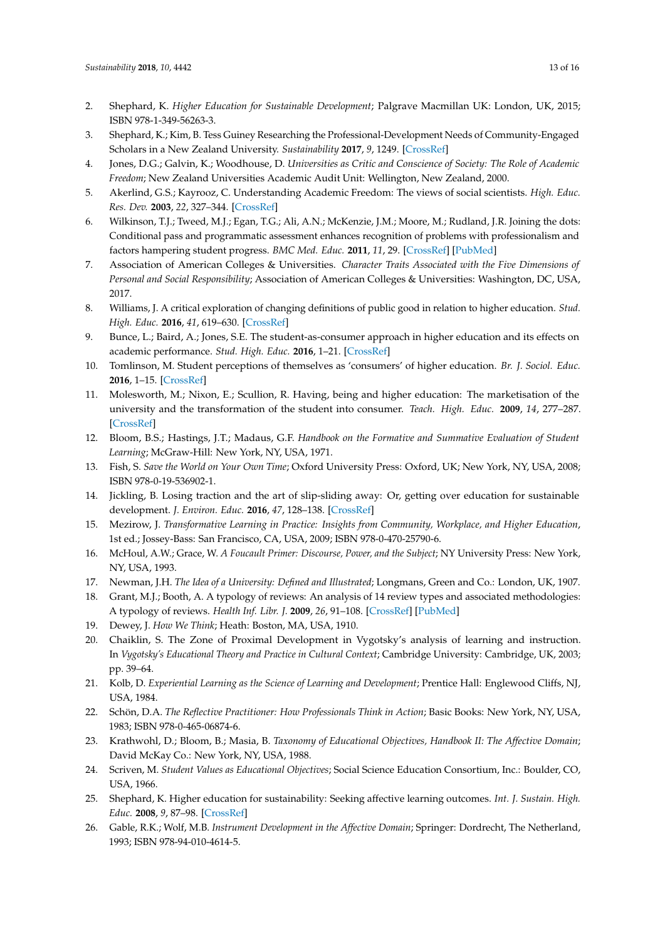- <span id="page-12-0"></span>2. Shephard, K. *Higher Education for Sustainable Development*; Palgrave Macmillan UK: London, UK, 2015; ISBN 978-1-349-56263-3.
- <span id="page-12-1"></span>3. Shephard, K.; Kim, B. Tess Guiney Researching the Professional-Development Needs of Community-Engaged Scholars in a New Zealand University. *Sustainability* **2017**, *9*, 1249. [\[CrossRef\]](http://dx.doi.org/10.3390/su9071249)
- <span id="page-12-2"></span>4. Jones, D.G.; Galvin, K.; Woodhouse, D. *Universities as Critic and Conscience of Society: The Role of Academic Freedom*; New Zealand Universities Academic Audit Unit: Wellington, New Zealand, 2000.
- <span id="page-12-3"></span>5. Akerlind, G.S.; Kayrooz, C. Understanding Academic Freedom: The views of social scientists. *High. Educ. Res. Dev.* **2003**, *22*, 327–344. [\[CrossRef\]](http://dx.doi.org/10.1080/0729436032000145176)
- <span id="page-12-4"></span>6. Wilkinson, T.J.; Tweed, M.J.; Egan, T.G.; Ali, A.N.; McKenzie, J.M.; Moore, M.; Rudland, J.R. Joining the dots: Conditional pass and programmatic assessment enhances recognition of problems with professionalism and factors hampering student progress. *BMC Med. Educ.* **2011**, *11*, 29. [\[CrossRef\]](http://dx.doi.org/10.1186/1472-6920-11-29) [\[PubMed\]](http://www.ncbi.nlm.nih.gov/pubmed/21649925)
- <span id="page-12-5"></span>7. Association of American Colleges & Universities. *Character Traits Associated with the Five Dimensions of Personal and Social Responsibility*; Association of American Colleges & Universities: Washington, DC, USA, 2017.
- <span id="page-12-6"></span>8. Williams, J. A critical exploration of changing definitions of public good in relation to higher education. *Stud. High. Educ.* **2016**, *41*, 619–630. [\[CrossRef\]](http://dx.doi.org/10.1080/03075079.2014.942270)
- <span id="page-12-7"></span>9. Bunce, L.; Baird, A.; Jones, S.E. The student-as-consumer approach in higher education and its effects on academic performance. *Stud. High. Educ.* **2016**, 1–21. [\[CrossRef\]](http://dx.doi.org/10.1080/03075079.2015.1127908)
- 10. Tomlinson, M. Student perceptions of themselves as 'consumers' of higher education. *Br. J. Sociol. Educ.* **2016**, 1–15. [\[CrossRef\]](http://dx.doi.org/10.1080/01425692.2015.1113856)
- <span id="page-12-8"></span>11. Molesworth, M.; Nixon, E.; Scullion, R. Having, being and higher education: The marketisation of the university and the transformation of the student into consumer. *Teach. High. Educ.* **2009**, *14*, 277–287. [\[CrossRef\]](http://dx.doi.org/10.1080/13562510902898841)
- <span id="page-12-9"></span>12. Bloom, B.S.; Hastings, J.T.; Madaus, G.F. *Handbook on the Formative and Summative Evaluation of Student Learning*; McGraw-Hill: New York, NY, USA, 1971.
- <span id="page-12-10"></span>13. Fish, S. *Save the World on Your Own Time*; Oxford University Press: Oxford, UK; New York, NY, USA, 2008; ISBN 978-0-19-536902-1.
- <span id="page-12-11"></span>14. Jickling, B. Losing traction and the art of slip-sliding away: Or, getting over education for sustainable development. *J. Environ. Educ.* **2016**, *47*, 128–138. [\[CrossRef\]](http://dx.doi.org/10.1080/00958964.2015.1080653)
- <span id="page-12-12"></span>15. Mezirow, J. *Transformative Learning in Practice: Insights from Community, Workplace, and Higher Education*, 1st ed.; Jossey-Bass: San Francisco, CA, USA, 2009; ISBN 978-0-470-25790-6.
- <span id="page-12-13"></span>16. McHoul, A.W.; Grace, W. *A Foucault Primer: Discourse, Power, and the Subject*; NY University Press: New York, NY, USA, 1993.
- <span id="page-12-14"></span>17. Newman, J.H. *The Idea of a University: Defined and Illustrated*; Longmans, Green and Co.: London, UK, 1907.
- <span id="page-12-15"></span>18. Grant, M.J.; Booth, A. A typology of reviews: An analysis of 14 review types and associated methodologies: A typology of reviews. *Health Inf. Libr. J.* **2009**, *26*, 91–108. [\[CrossRef\]](http://dx.doi.org/10.1111/j.1471-1842.2009.00848.x) [\[PubMed\]](http://www.ncbi.nlm.nih.gov/pubmed/19490148)
- <span id="page-12-16"></span>19. Dewey, J. *How We Think*; Heath: Boston, MA, USA, 1910.
- <span id="page-12-17"></span>20. Chaiklin, S. The Zone of Proximal Development in Vygotsky's analysis of learning and instruction. In *Vygotsky's Educational Theory and Practice in Cultural Context*; Cambridge University: Cambridge, UK, 2003; pp. 39–64.
- <span id="page-12-18"></span>21. Kolb, D. *Experiential Learning as the Science of Learning and Development*; Prentice Hall: Englewood Cliffs, NJ, USA, 1984.
- <span id="page-12-19"></span>22. Schön, D.A. *The Reflective Practitioner: How Professionals Think in Action; Basic Books: New York, NY, USA,* 1983; ISBN 978-0-465-06874-6.
- <span id="page-12-20"></span>23. Krathwohl, D.; Bloom, B.; Masia, B. *Taxonomy of Educational Objectives, Handbook II: The Affective Domain*; David McKay Co.: New York, NY, USA, 1988.
- <span id="page-12-21"></span>24. Scriven, M. *Student Values as Educational Objectives*; Social Science Education Consortium, Inc.: Boulder, CO, USA, 1966.
- <span id="page-12-22"></span>25. Shephard, K. Higher education for sustainability: Seeking affective learning outcomes. *Int. J. Sustain. High. Educ.* **2008**, *9*, 87–98. [\[CrossRef\]](http://dx.doi.org/10.1108/14676370810842201)
- <span id="page-12-23"></span>26. Gable, R.K.; Wolf, M.B. *Instrument Development in the Affective Domain*; Springer: Dordrecht, The Netherland, 1993; ISBN 978-94-010-4614-5.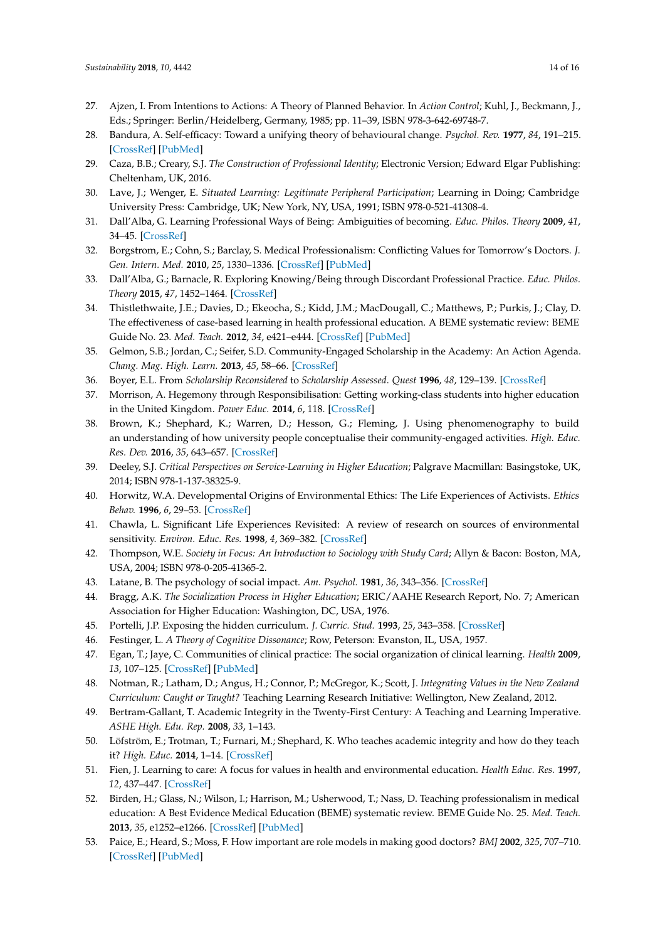- <span id="page-13-0"></span>27. Ajzen, I. From Intentions to Actions: A Theory of Planned Behavior. In *Action Control*; Kuhl, J., Beckmann, J., Eds.; Springer: Berlin/Heidelberg, Germany, 1985; pp. 11–39, ISBN 978-3-642-69748-7.
- <span id="page-13-1"></span>28. Bandura, A. Self-efficacy: Toward a unifying theory of behavioural change. *Psychol. Rev.* **1977**, *84*, 191–215. [\[CrossRef\]](http://dx.doi.org/10.1037/0033-295X.84.2.191) [\[PubMed\]](http://www.ncbi.nlm.nih.gov/pubmed/847061)
- <span id="page-13-2"></span>29. Caza, B.B.; Creary, S.J. *The Construction of Professional Identity*; Electronic Version; Edward Elgar Publishing: Cheltenham, UK, 2016.
- <span id="page-13-3"></span>30. Lave, J.; Wenger, E. *Situated Learning: Legitimate Peripheral Participation*; Learning in Doing; Cambridge University Press: Cambridge, UK; New York, NY, USA, 1991; ISBN 978-0-521-41308-4.
- <span id="page-13-4"></span>31. Dall'Alba, G. Learning Professional Ways of Being: Ambiguities of becoming. *Educ. Philos. Theory* **2009**, *41*, 34–45. [\[CrossRef\]](http://dx.doi.org/10.1111/j.1469-5812.2008.00475.x)
- <span id="page-13-24"></span>32. Borgstrom, E.; Cohn, S.; Barclay, S. Medical Professionalism: Conflicting Values for Tomorrow's Doctors. *J. Gen. Intern. Med.* **2010**, *25*, 1330–1336. [\[CrossRef\]](http://dx.doi.org/10.1007/s11606-010-1485-8) [\[PubMed\]](http://www.ncbi.nlm.nih.gov/pubmed/20740324)
- <span id="page-13-5"></span>33. Dall'Alba, G.; Barnacle, R. Exploring Knowing/Being through Discordant Professional Practice. *Educ. Philos. Theory* **2015**, *47*, 1452–1464. [\[CrossRef\]](http://dx.doi.org/10.1080/00131857.2014.947562)
- <span id="page-13-6"></span>34. Thistlethwaite, J.E.; Davies, D.; Ekeocha, S.; Kidd, J.M.; MacDougall, C.; Matthews, P.; Purkis, J.; Clay, D. The effectiveness of case-based learning in health professional education. A BEME systematic review: BEME Guide No. 23. *Med. Teach.* **2012**, *34*, e421–e444. [\[CrossRef\]](http://dx.doi.org/10.3109/0142159X.2012.680939) [\[PubMed\]](http://www.ncbi.nlm.nih.gov/pubmed/22578051)
- <span id="page-13-7"></span>35. Gelmon, S.B.; Jordan, C.; Seifer, S.D. Community-Engaged Scholarship in the Academy: An Action Agenda. *Chang. Mag. High. Learn.* **2013**, *45*, 58–66. [\[CrossRef\]](http://dx.doi.org/10.1080/00091383.2013.806202)
- <span id="page-13-8"></span>36. Boyer, E.L. From *Scholarship Reconsidered* to *Scholarship Assessed*. *Quest* **1996**, *48*, 129–139. [\[CrossRef\]](http://dx.doi.org/10.1080/00336297.1996.10484184)
- <span id="page-13-9"></span>37. Morrison, A. Hegemony through Responsibilisation: Getting working-class students into higher education in the United Kingdom. *Power Educ.* **2014**, *6*, 118. [\[CrossRef\]](http://dx.doi.org/10.2304/power.2014.6.2.118)
- 38. Brown, K.; Shephard, K.; Warren, D.; Hesson, G.; Fleming, J. Using phenomenography to build an understanding of how university people conceptualise their community-engaged activities. *High. Educ. Res. Dev.* **2016**, *35*, 643–657. [\[CrossRef\]](http://dx.doi.org/10.1080/07294360.2015.1137880)
- <span id="page-13-10"></span>39. Deeley, S.J. *Critical Perspectives on Service-Learning in Higher Education*; Palgrave Macmillan: Basingstoke, UK, 2014; ISBN 978-1-137-38325-9.
- <span id="page-13-11"></span>40. Horwitz, W.A. Developmental Origins of Environmental Ethics: The Life Experiences of Activists. *Ethics Behav.* **1996**, *6*, 29–53. [\[CrossRef\]](http://dx.doi.org/10.1207/s15327019eb0601_3)
- <span id="page-13-12"></span>41. Chawla, L. Significant Life Experiences Revisited: A review of research on sources of environmental sensitivity. *Environ. Educ. Res.* **1998**, *4*, 369–382. [\[CrossRef\]](http://dx.doi.org/10.1080/1350462980040402)
- <span id="page-13-13"></span>42. Thompson, W.E. *Society in Focus: An Introduction to Sociology with Study Card*; Allyn & Bacon: Boston, MA, USA, 2004; ISBN 978-0-205-41365-2.
- <span id="page-13-14"></span>43. Latane, B. The psychology of social impact. *Am. Psychol.* **1981**, *36*, 343–356. [\[CrossRef\]](http://dx.doi.org/10.1037/0003-066X.36.4.343)
- <span id="page-13-15"></span>44. Bragg, A.K. *The Socialization Process in Higher Education*; ERIC/AAHE Research Report, No. 7; American Association for Higher Education: Washington, DC, USA, 1976.
- <span id="page-13-16"></span>45. Portelli, J.P. Exposing the hidden curriculum. *J. Curric. Stud.* **1993**, *25*, 343–358. [\[CrossRef\]](http://dx.doi.org/10.1080/0022027930250404)
- <span id="page-13-17"></span>46. Festinger, L. *A Theory of Cognitive Dissonance*; Row, Peterson: Evanston, IL, USA, 1957.
- <span id="page-13-18"></span>47. Egan, T.; Jaye, C. Communities of clinical practice: The social organization of clinical learning. *Health* **2009**, *13*, 107–125. [\[CrossRef\]](http://dx.doi.org/10.1177/1363459308097363) [\[PubMed\]](http://www.ncbi.nlm.nih.gov/pubmed/19103718)
- <span id="page-13-19"></span>48. Notman, R.; Latham, D.; Angus, H.; Connor, P.; McGregor, K.; Scott, J. *Integrating Values in the New Zealand Curriculum: Caught or Taught?* Teaching Learning Research Initiative: Wellington, New Zealand, 2012.
- <span id="page-13-20"></span>49. Bertram-Gallant, T. Academic Integrity in the Twenty-First Century: A Teaching and Learning Imperative. *ASHE High. Edu. Rep.* **2008**, *33*, 1–143.
- <span id="page-13-21"></span>50. Löfström, E.; Trotman, T.; Furnari, M.; Shephard, K. Who teaches academic integrity and how do they teach it? *High. Educ.* **2014**, 1–14. [\[CrossRef\]](http://dx.doi.org/10.1007/s10734-014-9784-3)
- <span id="page-13-22"></span>51. Fien, J. Learning to care: A focus for values in health and environmental education. *Health Educ. Res.* **1997**, *12*, 437–447. [\[CrossRef\]](http://dx.doi.org/10.1093/her/12.4.437)
- <span id="page-13-23"></span>52. Birden, H.; Glass, N.; Wilson, I.; Harrison, M.; Usherwood, T.; Nass, D. Teaching professionalism in medical education: A Best Evidence Medical Education (BEME) systematic review. BEME Guide No. 25. *Med. Teach.* **2013**, *35*, e1252–e1266. [\[CrossRef\]](http://dx.doi.org/10.3109/0142159X.2013.789132) [\[PubMed\]](http://www.ncbi.nlm.nih.gov/pubmed/23829342)
- <span id="page-13-25"></span>53. Paice, E.; Heard, S.; Moss, F. How important are role models in making good doctors? *BMJ* **2002**, *325*, 707–710. [\[CrossRef\]](http://dx.doi.org/10.1136/bmj.325.7366.707) [\[PubMed\]](http://www.ncbi.nlm.nih.gov/pubmed/12351368)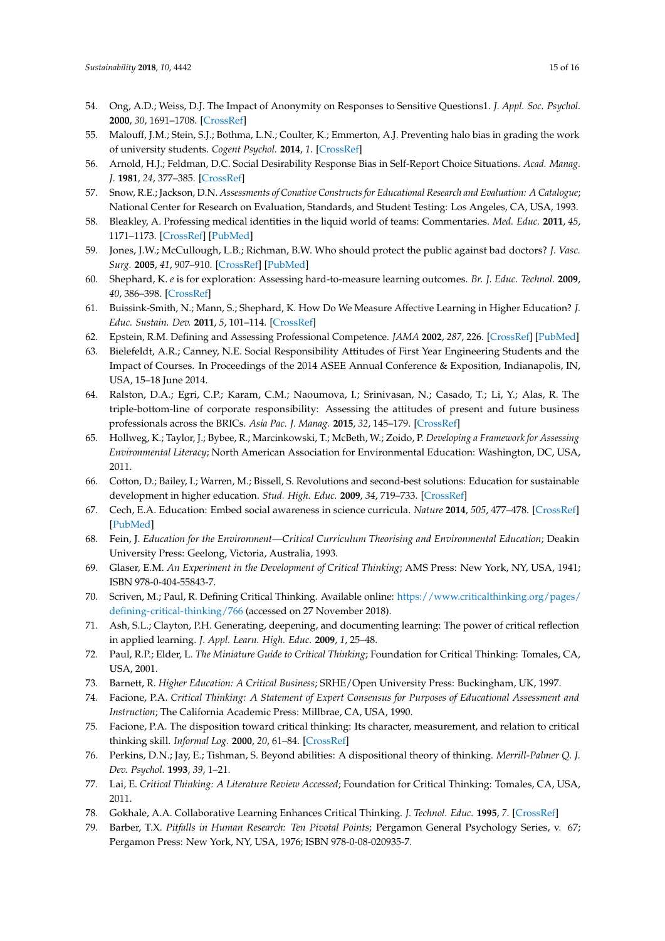- <span id="page-14-0"></span>54. Ong, A.D.; Weiss, D.J. The Impact of Anonymity on Responses to Sensitive Questions1. *J. Appl. Soc. Psychol.* **2000**, *30*, 1691–1708. [\[CrossRef\]](http://dx.doi.org/10.1111/j.1559-1816.2000.tb02462.x)
- <span id="page-14-1"></span>55. Malouff, J.M.; Stein, S.J.; Bothma, L.N.; Coulter, K.; Emmerton, A.J. Preventing halo bias in grading the work of university students. *Cogent Psychol.* **2014**, *1*. [\[CrossRef\]](http://dx.doi.org/10.1080/23311908.2014.988937)
- <span id="page-14-2"></span>56. Arnold, H.J.; Feldman, D.C. Social Desirability Response Bias in Self-Report Choice Situations. *Acad. Manag. J.* **1981**, *24*, 377–385. [\[CrossRef\]](http://dx.doi.org/10.5465/255848)
- <span id="page-14-3"></span>57. Snow, R.E.; Jackson, D.N. *Assessments of Conative Constructs for Educational Research and Evaluation: A Catalogue*; National Center for Research on Evaluation, Standards, and Student Testing: Los Angeles, CA, USA, 1993.
- <span id="page-14-4"></span>58. Bleakley, A. Professing medical identities in the liquid world of teams: Commentaries. *Med. Educ.* **2011**, *45*, 1171–1173. [\[CrossRef\]](http://dx.doi.org/10.1111/j.1365-2923.2011.04147.x) [\[PubMed\]](http://www.ncbi.nlm.nih.gov/pubmed/22122427)
- <span id="page-14-5"></span>59. Jones, J.W.; McCullough, L.B.; Richman, B.W. Who should protect the public against bad doctors? *J. Vasc. Surg.* **2005**, *41*, 907–910. [\[CrossRef\]](http://dx.doi.org/10.1016/j.jvs.2005.02.029) [\[PubMed\]](http://www.ncbi.nlm.nih.gov/pubmed/15886682)
- <span id="page-14-6"></span>60. Shephard, K. *e* is for exploration: Assessing hard-to-measure learning outcomes. *Br. J. Educ. Technol.* **2009**, *40*, 386–398. [\[CrossRef\]](http://dx.doi.org/10.1111/j.1467-8535.2008.00927.x)
- <span id="page-14-7"></span>61. Buissink-Smith, N.; Mann, S.; Shephard, K. How Do We Measure Affective Learning in Higher Education? *J. Educ. Sustain. Dev.* **2011**, *5*, 101–114. [\[CrossRef\]](http://dx.doi.org/10.1177/097340821000500113)
- <span id="page-14-8"></span>62. Epstein, R.M. Defining and Assessing Professional Competence. *JAMA* **2002**, *287*, 226. [\[CrossRef\]](http://dx.doi.org/10.1001/jama.287.2.226) [\[PubMed\]](http://www.ncbi.nlm.nih.gov/pubmed/11779266)
- <span id="page-14-9"></span>63. Bielefeldt, A.R.; Canney, N.E. Social Responsibility Attitudes of First Year Engineering Students and the Impact of Courses. In Proceedings of the 2014 ASEE Annual Conference & Exposition, Indianapolis, IN, USA, 15–18 June 2014.
- <span id="page-14-10"></span>64. Ralston, D.A.; Egri, C.P.; Karam, C.M.; Naoumova, I.; Srinivasan, N.; Casado, T.; Li, Y.; Alas, R. The triple-bottom-line of corporate responsibility: Assessing the attitudes of present and future business professionals across the BRICs. *Asia Pac. J. Manag.* **2015**, *32*, 145–179. [\[CrossRef\]](http://dx.doi.org/10.1007/s10490-014-9376-x)
- <span id="page-14-11"></span>65. Hollweg, K.; Taylor, J.; Bybee, R.; Marcinkowski, T.; McBeth, W.; Zoido, P. *Developing a Framework for Assessing Environmental Literacy*; North American Association for Environmental Education: Washington, DC, USA, 2011.
- <span id="page-14-12"></span>66. Cotton, D.; Bailey, I.; Warren, M.; Bissell, S. Revolutions and second-best solutions: Education for sustainable development in higher education. *Stud. High. Educ.* **2009**, *34*, 719–733. [\[CrossRef\]](http://dx.doi.org/10.1080/03075070802641552)
- <span id="page-14-13"></span>67. Cech, E.A. Education: Embed social awareness in science curricula. *Nature* **2014**, *505*, 477–478. [\[CrossRef\]](http://dx.doi.org/10.1038/505477a) [\[PubMed\]](http://www.ncbi.nlm.nih.gov/pubmed/24459713)
- <span id="page-14-14"></span>68. Fein, J. *Education for the Environment—Critical Curriculum Theorising and Environmental Education*; Deakin University Press: Geelong, Victoria, Australia, 1993.
- <span id="page-14-15"></span>69. Glaser, E.M. *An Experiment in the Development of Critical Thinking*; AMS Press: New York, NY, USA, 1941; ISBN 978-0-404-55843-7.
- <span id="page-14-16"></span>70. Scriven, M.; Paul, R. Defining Critical Thinking. Available online: [https://www.criticalthinking.org/pages/](https://www.criticalthinking.org/pages/defining-critical-thinking/766) [defining-critical-thinking/766](https://www.criticalthinking.org/pages/defining-critical-thinking/766) (accessed on 27 November 2018).
- <span id="page-14-17"></span>71. Ash, S.L.; Clayton, P.H. Generating, deepening, and documenting learning: The power of critical reflection in applied learning. *J. Appl. Learn. High. Educ.* **2009**, *1*, 25–48.
- <span id="page-14-18"></span>72. Paul, R.P.; Elder, L. *The Miniature Guide to Critical Thinking*; Foundation for Critical Thinking: Tomales, CA, USA, 2001.
- <span id="page-14-19"></span>73. Barnett, R. *Higher Education: A Critical Business*; SRHE/Open University Press: Buckingham, UK, 1997.
- <span id="page-14-20"></span>74. Facione, P.A. *Critical Thinking: A Statement of Expert Consensus for Purposes of Educational Assessment and Instruction*; The California Academic Press: Millbrae, CA, USA, 1990.
- <span id="page-14-21"></span>75. Facione, P.A. The disposition toward critical thinking: Its character, measurement, and relation to critical thinking skill. *Informal Log.* **2000**, *20*, 61–84. [\[CrossRef\]](http://dx.doi.org/10.22329/il.v20i1.2254)
- <span id="page-14-22"></span>76. Perkins, D.N.; Jay, E.; Tishman, S. Beyond abilities: A dispositional theory of thinking. *Merrill-Palmer Q. J. Dev. Psychol.* **1993**, *39*, 1–21.
- <span id="page-14-23"></span>77. Lai, E. *Critical Thinking: A Literature Review Accessed*; Foundation for Critical Thinking: Tomales, CA, USA, 2011.
- <span id="page-14-24"></span>78. Gokhale, A.A. Collaborative Learning Enhances Critical Thinking. *J. Technol. Educ.* **1995**, *7*. [\[CrossRef\]](http://dx.doi.org/10.21061/jte.v7i1.a.2)
- <span id="page-14-25"></span>79. Barber, T.X. *Pitfalls in Human Research: Ten Pivotal Points*; Pergamon General Psychology Series, v. 67; Pergamon Press: New York, NY, USA, 1976; ISBN 978-0-08-020935-7.